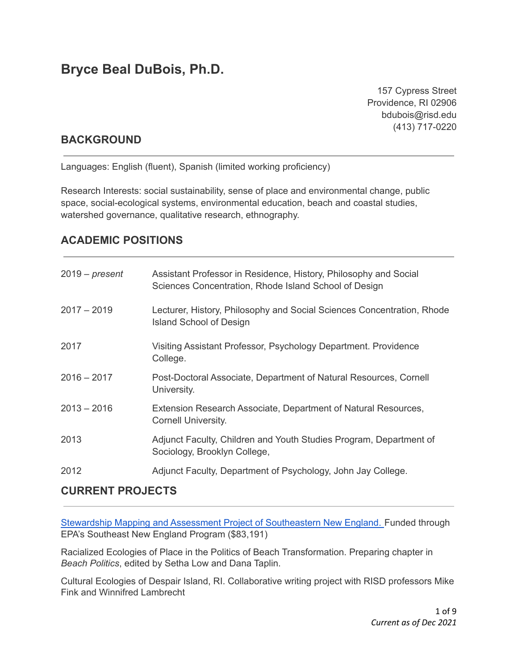# **Bryce Beal DuBois, Ph.D.**

157 Cypress Street Providence, RI 02906 bdubois@risd.edu (413) 717-0220

### **BACKGROUND**

Languages: English (fluent), Spanish (limited working proficiency)

Research Interests: social sustainability, sense of place and environmental change, public space, social-ecological systems, environmental education, beach and coastal studies, watershed governance, qualitative research, ethnography.

# **ACADEMIC POSITIONS**

| $2019$ – present | Assistant Professor in Residence, History, Philosophy and Social<br>Sciences Concentration, Rhode Island School of Design |
|------------------|---------------------------------------------------------------------------------------------------------------------------|
| $2017 - 2019$    | Lecturer, History, Philosophy and Social Sciences Concentration, Rhode<br><b>Island School of Design</b>                  |
| 2017             | Visiting Assistant Professor, Psychology Department. Providence<br>College.                                               |
| $2016 - 2017$    | Post-Doctoral Associate, Department of Natural Resources, Cornell<br>University.                                          |
| $2013 - 2016$    | Extension Research Associate, Department of Natural Resources,<br><b>Cornell University.</b>                              |
| 2013             | Adjunct Faculty, Children and Youth Studies Program, Department of<br>Sociology, Brooklyn College,                        |
| 2012             | Adjunct Faculty, Department of Psychology, John Jay College.                                                              |

### **CURRENT PROJECTS**

Stewardship Mapping and Assessment Project of [Southeastern](http://snepnetwork.org/stewardship-mapping/) New England. Funded through EPA's Southeast New England Program (\$83,191)

Racialized Ecologies of Place in the Politics of Beach Transformation. Preparing chapter in *Beach Politics*, edited by Setha Low and Dana Taplin.

Cultural Ecologies of Despair Island, RI. Collaborative writing project with RISD professors Mike Fink and Winnifred Lambrecht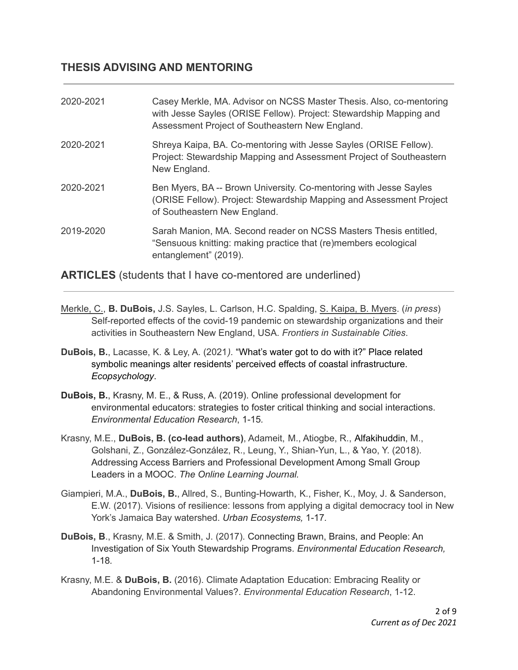# **THESIS ADVISING AND MENTORING**

| 2020-2021 | Casey Merkle, MA. Advisor on NCSS Master Thesis. Also, co-mentoring<br>with Jesse Sayles (ORISE Fellow). Project: Stewardship Mapping and<br>Assessment Project of Southeastern New England. |
|-----------|----------------------------------------------------------------------------------------------------------------------------------------------------------------------------------------------|
| 2020-2021 | Shreya Kaipa, BA. Co-mentoring with Jesse Sayles (ORISE Fellow).<br>Project: Stewardship Mapping and Assessment Project of Southeastern<br>New England.                                      |
| 2020-2021 | Ben Myers, BA -- Brown University. Co-mentoring with Jesse Sayles<br>(ORISE Fellow). Project: Stewardship Mapping and Assessment Project<br>of Southeastern New England.                     |
| 2019-2020 | Sarah Manion, MA. Second reader on NCSS Masters Thesis entitled,<br>"Sensuous knitting: making practice that (re)members ecological<br>entanglement" (2019).                                 |

Merkle, C., **B. DuBois,** J.S. Sayles, L. Carlson, H.C. Spalding, S. Kaipa, B. Myers. (*in press*)

**ARTICLES** (students that I have co-mentored are underlined)

- Self-reported effects of the covid-19 pandemic on stewardship organizations and their activities in Southeastern New England, USA. *Frontiers in Sustainable Cities*.
- **DuBois, B.**, Lacasse, K. & Ley, A. (2021*).* "What's water got to do with it?" Place related symbolic meanings alter residents' perceived effects of coastal infrastructure. *Ecopsychology*.
- **DuBois, B.**, Krasny, M. E., & Russ, A. (2019). Online professional development for environmental educators: strategies to foster critical thinking and social interactions. *Environmental Education Research*, 1-15*.*
- Krasny, M.E., **DuBois, B. (co-lead authors)**, Adameit, M., Atiogbe, R., Alfakihuddin, M., Golshani, Z., González-González, R., Leung, Y., Shian-Yun, L., & Yao, Y. (2018). Addressing Access Barriers and Professional Development Among Small Group Leaders in a MOOC. *The Online Learning Journal.*
- Giampieri, M.A., **DuBois, B.**, Allred, S., Bunting-Howarth, K., Fisher, K., Moy, J. & Sanderson, E.W. (2017). Visions of resilience: lessons from applying a digital democracy tool in New York's Jamaica Bay watershed. *Urban Ecosystems,* 1-17*.*
- **DuBois, B**., Krasny, M.E. & Smith, J. (2017). Connecting Brawn, Brains, and People: An Investigation of Six Youth Stewardship Programs. *Environmental Education Research,* 1-18*.*
- Krasny, M.E. & **DuBois, B.** (2016). Climate Adaptation Education: Embracing Reality or Abandoning Environmental Values?. *Environmental Education Research*, 1-12.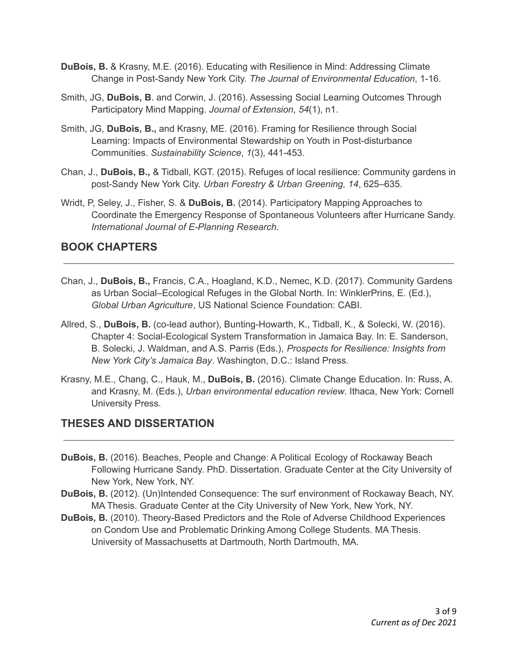- **DuBois, B.** & Krasny, M.E. (2016). Educating with Resilience in Mind: Addressing Climate Change in Post-Sandy New York City. *The Journal of Environmental Education*, 1-16.
- Smith, JG, **DuBois, B**. and Corwin, J. (2016). Assessing Social Learning Outcomes Through Participatory Mind Mapping. *Journal of Extension, 54*(1), n1.
- Smith, JG, **DuBois, B.,** and Krasny, ME. (2016). Framing for Resilience through Social Learning: Impacts of Environmental Stewardship on Youth in Post-disturbance Communities. *Sustainability Science*, *1*(3), 441-453.
- Chan, J., **DuBois, B.,** & Tidball, KGT. (2015). Refuges of local resilience: Community gardens in post-Sandy New York City. *Urban Forestry & Urban Greening, 14*, 625–635.
- Wridt, P, Seley, J., Fisher, S. & **DuBois, B.** (2014). Participatory Mapping Approaches to Coordinate the Emergency Response of Spontaneous Volunteers after Hurricane Sandy. *International Journal of E-Planning Research*.

# **BOOK CHAPTERS**

- Chan, J., **DuBois, B.,** Francis, C.A., Hoagland, K.D., Nemec, K.D. (2017). Community Gardens as Urban Social–Ecological Refuges in the Global North. In: WinklerPrins, E. (Ed.), *Global Urban Agriculture*, US National Science Foundation: CABI.
- Allred, S., **DuBois, B.** (co-lead author), Bunting-Howarth, K., Tidball, K., & Solecki, W. (2016). Chapter 4: Social-Ecological System Transformation in Jamaica Bay. In: E. Sanderson, B. Solecki, J. Waldman, and A.S. Parris (Eds.), *Prospects for Resilience: Insights from New York City's Jamaica Bay*. Washington, D.C.: Island Press.
- Krasny, M.E., Chang, C., Hauk, M., **DuBois, B.** (2016). Climate Change Education. In: Russ, A. and Krasny, M. (Eds.), *Urban environmental education review*. Ithaca, New York: Cornell University Press.

# **THESES AND DISSERTATION**

- **DuBois, B.** (2016). Beaches, People and Change: A Political Ecology of Rockaway Beach Following Hurricane Sandy. PhD. Dissertation. Graduate Center at the City University of New York, New York, NY.
- **DuBois, B.** (2012). (Un)Intended Consequence: The surf environment of Rockaway Beach, NY. MA Thesis. Graduate Center at the City University of New York, New York, NY.
- **DuBois, B.** (2010). Theory-Based Predictors and the Role of Adverse Childhood Experiences on Condom Use and Problematic Drinking Among College Students. MA Thesis. University of Massachusetts at Dartmouth, North Dartmouth, MA.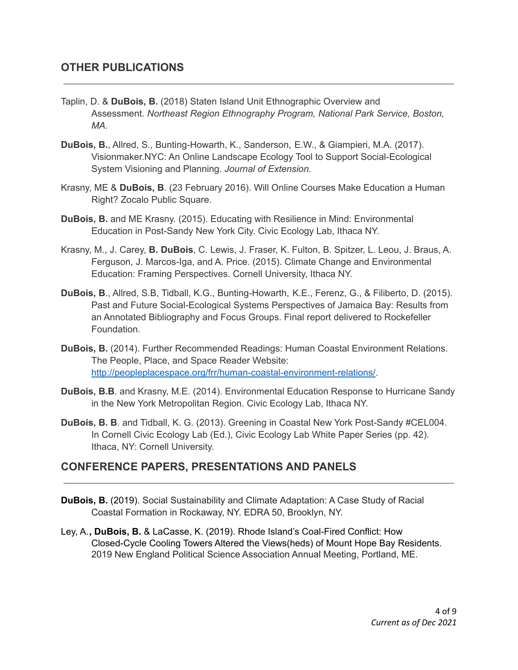- Taplin, D. & **DuBois, B.** (2018) Staten Island Unit Ethnographic Overview and Assessment. *Northeast Region Ethnography Program, National Park Service, Boston, MA.*
- **DuBois, B.**, Allred, S., Bunting-Howarth, K., Sanderson, E.W., & Giampieri, M.A. (2017). Visionmaker.NYC: An Online Landscape Ecology Tool to Support Social-Ecological System Visioning and Planning. *Journal of Extension.*
- Krasny, ME & **DuBois, B**. (23 February 2016). Will Online Courses Make Education a Human Right? Zocalo Public Square.
- **DuBois, B.** and ME Krasny. (2015). Educating with Resilience in Mind: Environmental Education in Post-Sandy New York City. Civic Ecology Lab, Ithaca NY.
- Krasny, M., J. Carey, **B. DuBois**, C. Lewis, J. Fraser, K. Fulton, B. Spitzer, L. Leou, J. Braus, A. Ferguson, J. Marcos-Iga, and A. Price. (2015). Climate Change and Environmental Education: Framing Perspectives. Cornell University, Ithaca NY.
- **DuBois, B**., Allred, S.B, Tidball, K.G., Bunting-Howarth, K.E., Ferenz, G., & Filiberto, D. (2015). Past and Future Social-Ecological Systems Perspectives of Jamaica Bay: Results from an Annotated Bibliography and Focus Groups. Final report delivered to Rockefeller Foundation.
- **DuBois, B.** (2014). Further Recommended Readings: Human Coastal Environment Relations. The People, Place, and Space Reader Website: <http://peopleplacespace.org/frr/human-coastal-environment-relations/>.
- **DuBois, B.B**. and Krasny, M.E. (2014). Environmental Education Response to Hurricane Sandy in the New York Metropolitan Region. Civic Ecology Lab, Ithaca NY.
- **DuBois, B. B**. and Tidball, K. G. (2013). Greening in Coastal New York Post-Sandy #CEL004. In Cornell Civic Ecology Lab (Ed.), Civic Ecology Lab White Paper Series (pp. 42). Ithaca, NY: Cornell University.

# **CONFERENCE PAPERS, PRESENTATIONS AND PANELS**

- **DuBois, B.** (2019). Social Sustainability and Climate Adaptation: A Case Study of Racial Coastal Formation in Rockaway, NY. EDRA 50, Brooklyn, NY.
- Ley, A.**, DuBois, B.** & LaCasse, K. (2019). Rhode Island's Coal-Fired Conflict: How Closed-Cycle Cooling Towers Altered the Views(heds) of Mount Hope Bay Residents. 2019 New England Political Science Association Annual Meeting, Portland, ME.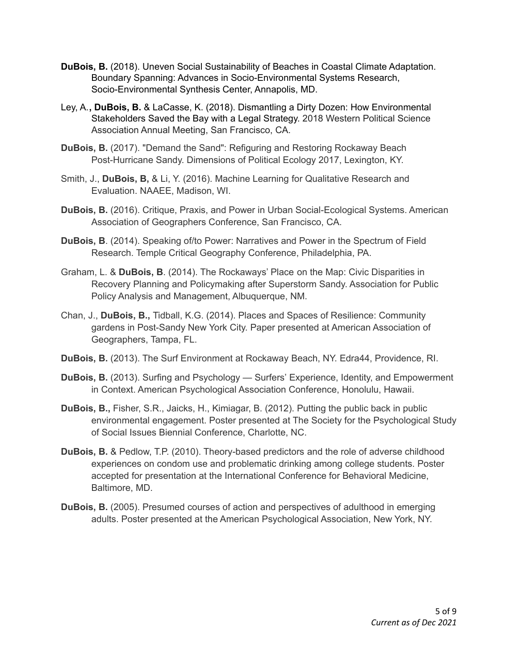- **DuBois, B.** (2018). Uneven Social Sustainability of Beaches in Coastal Climate Adaptation. Boundary Spanning: Advances in Socio-Environmental Systems Research, Socio-Environmental Synthesis Center, Annapolis, MD.
- Ley, A.**, DuBois, B.** & LaCasse, K. (2018). Dismantling a Dirty Dozen: How Environmental Stakeholders Saved the Bay with a Legal Strategy. 2018 Western Political Science Association Annual Meeting, San Francisco, CA.
- **DuBois, B.** (2017). "Demand the Sand": Refiguring and Restoring Rockaway Beach Post-Hurricane Sandy. Dimensions of Political Ecology 2017, Lexington, KY.
- Smith, J., **DuBois, B,** & Li, Y. (2016). Machine Learning for Qualitative Research and Evaluation. NAAEE, Madison, WI.
- **DuBois, B.** (2016). Critique, Praxis, and Power in Urban Social-Ecological Systems. American Association of Geographers Conference, San Francisco, CA.
- **DuBois, B**. (2014). Speaking of/to Power: Narratives and Power in the Spectrum of Field Research. Temple Critical Geography Conference, Philadelphia, PA.
- Graham, L. & **DuBois, B**. (2014). The Rockaways' Place on the Map: Civic Disparities in Recovery Planning and Policymaking after Superstorm Sandy. Association for Public Policy Analysis and Management, Albuquerque, NM.
- Chan, J., **DuBois, B.,** Tidball, K.G. (2014). Places and Spaces of Resilience: Community gardens in Post-Sandy New York City. Paper presented at American Association of Geographers, Tampa, FL.
- **DuBois, B.** (2013). The Surf Environment at Rockaway Beach, NY. Edra44, Providence, RI.
- **DuBois, B.** (2013). Surfing and Psychology Surfers' Experience, Identity, and Empowerment in Context. American Psychological Association Conference, Honolulu, Hawaii.
- **DuBois, B.,** Fisher, S.R., Jaicks, H., Kimiagar, B. (2012). Putting the public back in public environmental engagement. Poster presented at The Society for the Psychological Study of Social Issues Biennial Conference, Charlotte, NC.
- **DuBois, B.** & Pedlow, T.P. (2010). Theory-based predictors and the role of adverse childhood experiences on condom use and problematic drinking among college students. Poster accepted for presentation at the International Conference for Behavioral Medicine, Baltimore, MD.
- **DuBois, B.** (2005). Presumed courses of action and perspectives of adulthood in emerging adults. Poster presented at the American Psychological Association, New York, NY.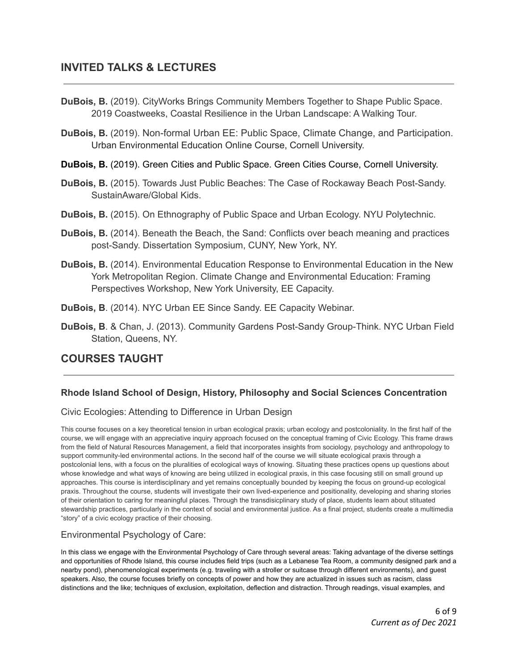- **DuBois, B.** (2019). CityWorks Brings Community Members Together to Shape Public Space. 2019 Coastweeks, Coastal Resilience in the Urban Landscape: A Walking Tour.
- **DuBois, B.** (2019). Non-formal Urban EE: Public Space, Climate Change, and Participation. Urban Environmental Education Online Course, Cornell University.
- **DuBois, B.** (2019). Green Cities and Public Space. Green Cities Course, Cornell University.
- **DuBois, B.** (2015). Towards Just Public Beaches: The Case of Rockaway Beach Post-Sandy. SustainAware/Global Kids.
- **DuBois, B.** (2015). On Ethnography of Public Space and Urban Ecology. NYU Polytechnic.
- **DuBois, B.** (2014). Beneath the Beach, the Sand: Conflicts over beach meaning and practices post-Sandy. Dissertation Symposium, CUNY, New York, NY.
- **DuBois, B.** (2014). Environmental Education Response to Environmental Education in the New York Metropolitan Region. Climate Change and Environmental Education: Framing Perspectives Workshop, New York University, EE Capacity.
- **DuBois, B**. (2014). NYC Urban EE Since Sandy. EE Capacity Webinar.
- **DuBois, B**. & Chan, J. (2013). Community Gardens Post-Sandy Group-Think. NYC Urban Field Station, Queens, NY.

# **COURSES TAUGHT**

### **Rhode Island School of Design, History, Philosophy and Social Sciences Concentration**

#### Civic Ecologies: Attending to Difference in Urban Design

This course focuses on a key theoretical tension in urban ecological praxis; urban ecology and postcoloniality. In the first half of the course, we will engage with an appreciative inquiry approach focused on the conceptual framing of Civic Ecology. This frame draws from the field of Natural Resources Management, a field that incorporates insights from sociology, psychology and anthropology to support community-led environmental actions. In the second half of the course we will situate ecological praxis through a postcolonial lens, with a focus on the pluralities of ecological ways of knowing. Situating these practices opens up questions about whose knowledge and what ways of knowing are being utilized in ecological praxis, in this case focusing still on small ground up approaches. This course is interdisciplinary and yet remains conceptually bounded by keeping the focus on ground-up ecological praxis. Throughout the course, students will investigate their own lived-experience and positionality, developing and sharing stories of their orientation to caring for meaningful places. Through the transdisicplinary study of place, students learn about stituated stewardship practices, particularly in the context of social and environmental justice. As a final project, students create a multimedia "story" of a civic ecology practice of their choosing.

#### Environmental Psychology of Care:

In this class we engage with the Environmental Psychology of Care through several areas: Taking advantage of the diverse settings and opportunities of Rhode Island, this course includes field trips (such as a Lebanese Tea Room, a community designed park and a nearby pond), phenomenological experiments (e.g. traveling with a stroller or suitcase through different environments), and guest speakers. Also, the course focuses briefly on concepts of power and how they are actualized in issues such as racism, class distinctions and the like; techniques of exclusion, exploitation, deflection and distraction. Through readings, visual examples, and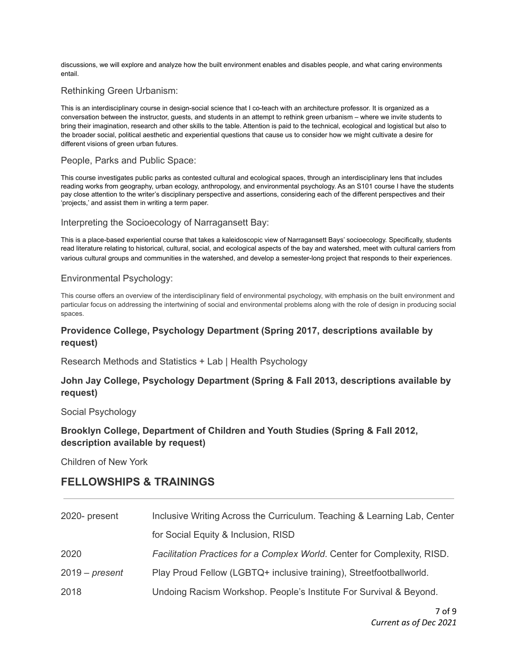discussions, we will explore and analyze how the built environment enables and disables people, and what caring environments entail.

#### Rethinking Green Urbanism:

This is an interdisciplinary course in design-social science that I co-teach with an architecture professor. It is organized as a conversation between the instructor, guests, and students in an attempt to rethink green urbanism – where we invite students to bring their imagination, research and other skills to the table. Attention is paid to the technical, ecological and logistical but also to the broader social, political aesthetic and experiential questions that cause us to consider how we might cultivate a desire for different visions of green urban futures.

#### People, Parks and Public Space:

This course investigates public parks as contested cultural and ecological spaces, through an interdisciplinary lens that includes reading works from geography, urban ecology, anthropology, and environmental psychology. As an S101 course I have the students pay close attention to the writer's disciplinary perspective and assertions, considering each of the different perspectives and their 'projects,' and assist them in writing a term paper.

#### Interpreting the Socioecology of Narragansett Bay:

This is a place-based experiential course that takes a kaleidoscopic view of Narragansett Bays' socioecology. Specifically, students read literature relating to historical, cultural, social, and ecological aspects of the bay and watershed, meet with cultural carriers from various cultural groups and communities in the watershed, and develop a semester-long project that responds to their experiences.

#### Environmental Psychology:

This course offers an overview of the interdisciplinary field of environmental psychology, with emphasis on the built environment and particular focus on addressing the intertwining of social and environmental problems along with the role of design in producing social spaces.

#### **Providence College, Psychology Department (Spring 2017, descriptions available by request)**

Research Methods and Statistics + Lab | Health Psychology

#### **John Jay College, Psychology Department (Spring & Fall 2013, descriptions available by request)**

Social Psychology

#### **Brooklyn College, Department of Children and Youth Studies (Spring & Fall 2012, description available by request)**

Children of New York

### **FELLOWSHIPS & TRAININGS**

| 2020- present    | Inclusive Writing Across the Curriculum. Teaching & Learning Lab, Center |
|------------------|--------------------------------------------------------------------------|
|                  | for Social Equity & Inclusion, RISD                                      |
| 2020             | Facilitation Practices for a Complex World. Center for Complexity, RISD. |
| $2019$ – present | Play Proud Fellow (LGBTQ+ inclusive training), Streetfootballworld.      |
| 2018             | Undoing Racism Workshop. People's Institute For Survival & Beyond.       |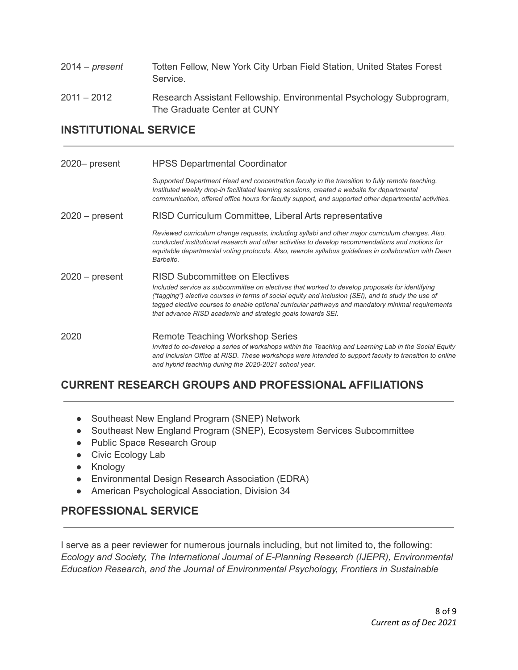| $2014$ – present | Totten Fellow, New York City Urban Field Station, United States Forest<br>Service.                 |
|------------------|----------------------------------------------------------------------------------------------------|
| $2011 - 2012$    | Research Assistant Fellowship. Environmental Psychology Subprogram,<br>The Graduate Center at CUNY |

### **INSTITUTIONAL SERVICE**

| 2020– present    | <b>HPSS Departmental Coordinator</b>                                                                                                                                                                                                                                                                                                                                                                        |
|------------------|-------------------------------------------------------------------------------------------------------------------------------------------------------------------------------------------------------------------------------------------------------------------------------------------------------------------------------------------------------------------------------------------------------------|
|                  | Supported Department Head and concentration faculty in the transition to fully remote teaching.<br>Instituted weekly drop-in facilitated learning sessions, created a website for departmental<br>communication, offered office hours for faculty support, and supported other departmental activities.                                                                                                     |
| $2020$ – present | RISD Curriculum Committee, Liberal Arts representative                                                                                                                                                                                                                                                                                                                                                      |
|                  | Reviewed curriculum change requests, including syllabi and other major curriculum changes. Also,<br>conducted institutional research and other activities to develop recommendations and motions for<br>equitable departmental voting protocols. Also, rewrote syllabus guidelines in collaboration with Dean<br>Barbeito.                                                                                  |
| $2020 - present$ | RISD Subcommittee on Electives<br>Included service as subcommittee on electives that worked to develop proposals for identifying<br>("tagging") elective courses in terms of social equity and inclusion (SEI), and to study the use of<br>tagged elective courses to enable optional curricular pathways and mandatory minimal requirements<br>that advance RISD academic and strategic goals towards SEI. |
| 2020             | Remote Teaching Workshop Series<br>Invited to co-develop a series of workshops within the Teaching and Learning Lab in the Social Equity<br>and Inclusion Office at RISD. These workshops were intended to support faculty to transition to online<br>and hybrid teaching during the 2020-2021 school year.                                                                                                 |

# **CURRENT RESEARCH GROUPS AND PROFESSIONAL AFFILIATIONS**

- Southeast New England Program (SNEP) Network
- Southeast New England Program (SNEP), Ecosystem Services Subcommittee
- Public Space Research Group
- Civic Ecology Lab
- Knology
- Environmental Design Research Association (EDRA)
- American Psychological Association, Division 34

# **PROFESSIONAL SERVICE**

I serve as a peer reviewer for numerous journals including, but not limited to, the following: *Ecology and Society, The International Journal of E-Planning Research (IJEPR), Environmental Education Research, and the Journal of Environmental Psychology, Frontiers in Sustainable*